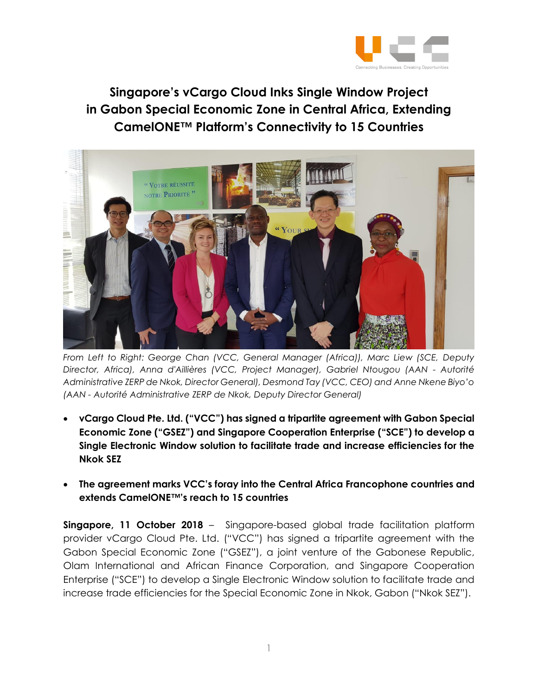

**Singapore's vCargo Cloud Inks Single Window Project in Gabon Special Economic Zone in Central Africa, Extending CamelONE™ Platform's Connectivity to 15 Countries**



*From Left to Right: George Chan (VCC, General Manager (Africa)), Marc Liew (SCE, Deputy Director, Africa), Anna d'Aillières (VCC, Project Manager), Gabriel Ntougou (AAN - Autorité Administrative ZERP de Nkok, Director General), Desmond Tay (VCC, CEO) and Anne Nkene Biyo'o (AAN - Autorité Administrative ZERP de Nkok, Deputy Director General)*

- **vCargo Cloud Pte. Ltd. ("VCC") has signed a tripartite agreement with Gabon Special Economic Zone ("GSEZ") and Singapore Cooperation Enterprise ("SCE") to develop a Single Electronic Window solution to facilitate trade and increase efficiencies for the Nkok SEZ**
- **The agreement marks VCC's foray into the Central Africa Francophone countries and extends CamelONE™'s reach to 15 countries**

**Singapore, 11 October 2018** – Singapore-based global trade facilitation platform provider vCargo Cloud Pte. Ltd. ("VCC") has signed a tripartite agreement with the Gabon Special Economic Zone ("GSEZ"), a joint venture of the Gabonese Republic, Olam International and African Finance Corporation, and Singapore Cooperation Enterprise ("SCE") to develop a Single Electronic Window solution to facilitate trade and increase trade efficiencies for the Special Economic Zone in Nkok, Gabon ("Nkok SEZ").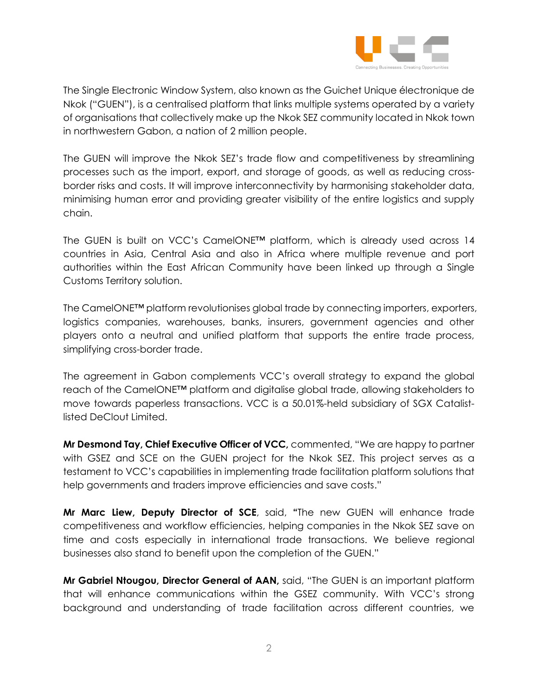

The Single Electronic Window System, also known as the Guichet Unique électronique de Nkok ("GUEN"), is a centralised platform that links multiple systems operated by a variety of organisations that collectively make up the Nkok SEZ community located in Nkok town in northwestern Gabon, a nation of 2 million people.

The GUEN will improve the Nkok SEZ's trade flow and competitiveness by streamlining processes such as the import, export, and storage of goods, as well as reducing crossborder risks and costs. It will improve interconnectivity by harmonising stakeholder data, minimising human error and providing greater visibility of the entire logistics and supply chain.

The GUEN is built on VCC's CamelONE™ platform, which is already used across 14 countries in Asia, Central Asia and also in Africa where multiple revenue and port authorities within the East African Community have been linked up through a Single Customs Territory solution.

The CamelONE™ platform revolutionises global trade by connecting importers, exporters, logistics companies, warehouses, banks, insurers, government agencies and other players onto a neutral and unified platform that supports the entire trade process, simplifying cross-border trade.

The agreement in Gabon complements VCC's overall strategy to expand the global reach of the CamelONE™ platform and digitalise global trade, allowing stakeholders to move towards paperless transactions. VCC is a 50.01%-held subsidiary of SGX Catalistlisted DeClout Limited.

**Mr Desmond Tay, Chief Executive Officer of VCC,** commented, "We are happy to partner with GSEZ and SCE on the GUEN project for the Nkok SEZ. This project serves as a testament to VCC's capabilities in implementing trade facilitation platform solutions that help governments and traders improve efficiencies and save costs."

**Mr Marc Liew, Deputy Director of SCE**, said, **"**The new GUEN will enhance trade competitiveness and workflow efficiencies, helping companies in the Nkok SEZ save on time and costs especially in international trade transactions. We believe regional businesses also stand to benefit upon the completion of the GUEN."

**Mr Gabriel Ntougou, Director General of AAN,** said, "The GUEN is an important platform that will enhance communications within the GSEZ community. With VCC's strong background and understanding of trade facilitation across different countries, we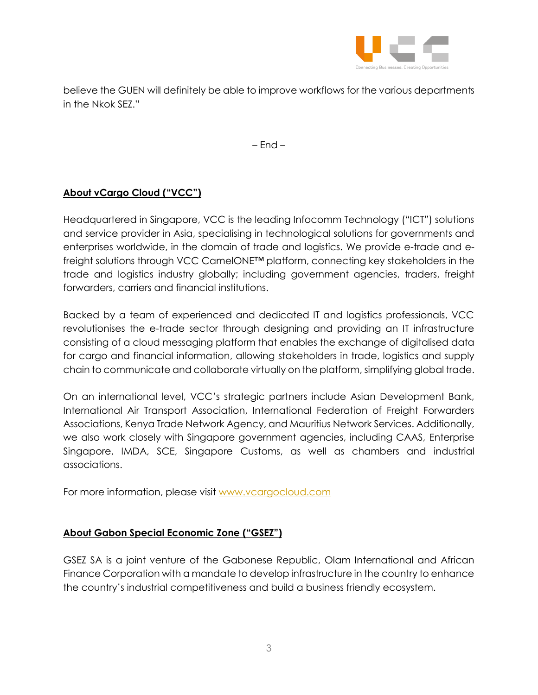

believe the GUEN will definitely be able to improve workflows for the various departments in the Nkok SEZ."

– End –

## **About vCargo Cloud ("VCC")**

Headquartered in Singapore, VCC is the leading Infocomm Technology ("ICT") solutions and service provider in Asia, specialising in technological solutions for governments and enterprises worldwide, in the domain of trade and logistics. We provide e-trade and efreight solutions through VCC CamelONE™ platform, connecting key stakeholders in the trade and logistics industry globally; including government agencies, traders, freight forwarders, carriers and financial institutions.

Backed by a team of experienced and dedicated IT and logistics professionals, VCC revolutionises the e-trade sector through designing and providing an IT infrastructure consisting of a cloud messaging platform that enables the exchange of digitalised data for cargo and financial information, allowing stakeholders in trade, logistics and supply chain to communicate and collaborate virtually on the platform, simplifying global trade.

On an international level, VCC's strategic partners include Asian Development Bank, International Air Transport Association, International Federation of Freight Forwarders Associations, Kenya Trade Network Agency, and Mauritius Network Services. Additionally, we also work closely with Singapore government agencies, including CAAS, Enterprise Singapore, IMDA, SCE, Singapore Customs, as well as chambers and industrial associations.

For more information, please visit [www.vcargocloud.com](http://www.vcargocloud.com/)

## **About Gabon Special Economic Zone ("GSEZ")**

GSEZ SA is a joint venture of the Gabonese Republic, Olam International and African Finance Corporation with a mandate to develop infrastructure in the country to enhance the country's industrial competitiveness and build a business friendly ecosystem.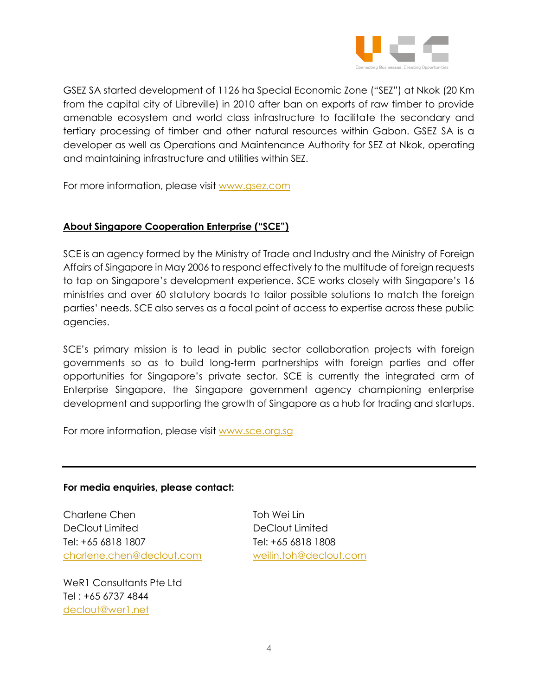

GSEZ SA started development of 1126 ha Special Economic Zone ("SEZ") at Nkok (20 Km from the capital city of Libreville) in 2010 after ban on exports of raw timber to provide amenable ecosystem and world class infrastructure to facilitate the secondary and tertiary processing of timber and other natural resources within Gabon. GSEZ SA is a developer as well as Operations and Maintenance Authority for SEZ at Nkok, operating and maintaining infrastructure and utilities within SEZ.

For more information, please visit [www.gsez.com](http://www.gsez.com/)

## **About Singapore Cooperation Enterprise ("SCE")**

SCE is an agency formed by the Ministry of Trade and Industry and the Ministry of Foreign Affairs of Singapore in May 2006 to respond effectively to the multitude of foreign requests to tap on Singapore's development experience. SCE works closely with Singapore's 16 ministries and over 60 statutory boards to tailor possible solutions to match the foreign parties' needs. SCE also serves as a focal point of access to expertise across these public agencies.

SCE's primary mission is to lead in public sector collaboration projects with foreign governments so as to build long-term partnerships with foreign parties and offer opportunities for Singapore's private sector. SCE is currently the integrated arm of Enterprise Singapore, the Singapore government agency championing enterprise development and supporting the growth of Singapore as a hub for trading and startups.

For more information, please visit [www.sce.org.sg](http://www.sce.org.sg/)

## **For media enquiries, please contact:**

Charlene Chen Toh Wei Lin DeClout Limited DeClout Limited Tel: +65 6818 1807 Tel: +65 6818 1808 [charlene.chen@declout.com](mailto:charlene.chen@declout.com) [weilin.toh@declout.com](mailto:weilin.toh@declout.com)

WeR1 Consultants Pte Ltd Tel : +65 6737 4844 [declout@wer1.net](mailto:declout@wer1.net)